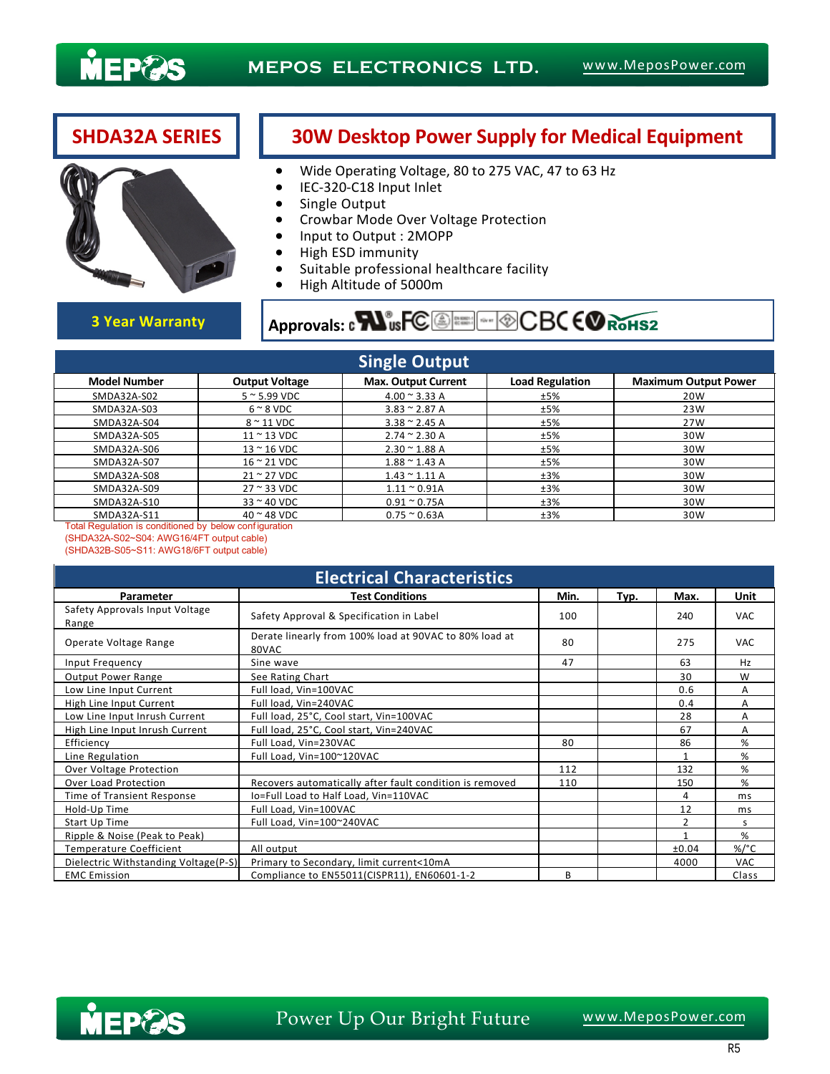

## **SHDA32A SERIES 30W Desktop Power Supply for Medical Equipment**



### Wide Operating Voltage, 80 to 275 VAC, 47 to 63 Hz

- IEC-320-C18 Input Inlet
- Single Output
- Crowbar Mode Over Voltage Protection
- Input to Output : 2MOPP
- High ESD immunity
- **Suitable professional healthcare facility**
- High Altitude of 5000m

# **3 Year Warranty Approvals: contract CO ALL APPROVALS: CONCLUSION AND ROLLS AND ROLLS AND ROLLS AND ROLLS AND ROLLS AND ROLLS AND ROLLS AND ROLLS AND ROLLS AND ROLLS AND ROLLS AND ROLLS AND ROLLS AND ROLLS AND ROLLS AND RO**

| <b>Single Output</b> |                             |                               |                        |                             |  |  |  |  |  |
|----------------------|-----------------------------|-------------------------------|------------------------|-----------------------------|--|--|--|--|--|
| <b>Model Number</b>  | <b>Output Voltage</b>       | <b>Max. Output Current</b>    | <b>Load Regulation</b> | <b>Maximum Output Power</b> |  |  |  |  |  |
| SMDA32A-S02          | $5 \approx 5.99$ VDC        | $4.00 \approx 3.33 A$         | ±5%                    | 20W                         |  |  |  |  |  |
| SMDA32A-S03          | $6 \sim 8$ VDC              | $3.83 \approx 2.87$ A         | ±5%                    | 23W                         |  |  |  |  |  |
| SMDA32A-S04          | $8 \sim 11$ VDC             | $3.38 \approx 2.45 A$         | ±5%                    | 27W                         |  |  |  |  |  |
| SMDA32A-S05          | $11 \approx 13$ VDC         | $2.74 \approx 2.30 A$         | ±5%                    | 30W                         |  |  |  |  |  |
| SMDA32A-S06          | $13 \approx 16$ VDC         | $2.30 \approx 1.88$ A         | ±5%                    | 30W                         |  |  |  |  |  |
| SMDA32A-S07          | $16 \approx 21$ VDC         | $1.88 \approx 1.43$ A         | ±5%                    | 30W                         |  |  |  |  |  |
| SMDA32A-S08          | $21 \approx 27$ VDC         | $1.43 \approx 1.11 A$         | ±3%                    | 30W                         |  |  |  |  |  |
| SMDA32A-S09          | $27 \approx 33 \text{ VDC}$ | $1.11 \div 0.91A$             | ±3%                    | 30W                         |  |  |  |  |  |
| SMDA32A-S10          | $33 \approx 40$ VDC         | $0.91 \text{~}^{\circ}$ 0.75A | ±3%                    | 30W                         |  |  |  |  |  |
| SMDA32A-S11          | $40$ $\sim$ 48 VDC          | $0.75 \approx 0.63A$          | ±3%                    | 30W                         |  |  |  |  |  |

Total Regulation is conditioned by below conf iguration (SHDA32A-S02~S04: AWG16/4FT output cable) (SHDA32B-S05~S11: AWG18/6FT output cable)

| <b>Electrical Characteristics</b>       |                                                                 |      |      |       |                 |  |  |  |
|-----------------------------------------|-----------------------------------------------------------------|------|------|-------|-----------------|--|--|--|
| Parameter                               | <b>Test Conditions</b>                                          | Min. | Typ. | Max.  | Unit            |  |  |  |
| Safety Approvals Input Voltage<br>Range | Safety Approval & Specification in Label                        | 100  |      | 240   | <b>VAC</b>      |  |  |  |
| Operate Voltage Range                   | Derate linearly from 100% load at 90VAC to 80% load at<br>80VAC | 80   |      | 275   | <b>VAC</b>      |  |  |  |
| Input Frequency                         | Sine wave                                                       | 47   |      | 63    | Hz              |  |  |  |
| <b>Output Power Range</b>               | See Rating Chart                                                |      |      | 30    | W               |  |  |  |
| Low Line Input Current                  | Full load, Vin=100VAC                                           |      |      | 0.6   | A               |  |  |  |
| High Line Input Current                 | Full load, Vin=240VAC                                           |      |      | 0.4   | A               |  |  |  |
| Low Line Input Inrush Current           | Full load, 25°C, Cool start, Vin=100VAC                         |      |      | 28    | A               |  |  |  |
| High Line Input Inrush Current          | Full load, 25°C, Cool start, Vin=240VAC                         |      |      | 67    | A               |  |  |  |
| Efficiency                              | Full Load, Vin=230VAC                                           | 80   |      | 86    | %               |  |  |  |
| Line Regulation                         | Full Load, Vin=100~120VAC                                       |      |      | 1     | %               |  |  |  |
| Over Voltage Protection                 |                                                                 | 112  |      | 132   | %               |  |  |  |
| Over Load Protection                    | Recovers automatically after fault condition is removed         | 110  |      | 150   | %               |  |  |  |
| Time of Transient Response              | Io=Full Load to Half Load, Vin=110VAC                           |      |      | 4     | ms              |  |  |  |
| Hold-Up Time                            | Full Load, Vin=100VAC                                           |      |      | 12    | ms              |  |  |  |
| Start Up Time                           | Full Load, Vin=100~240VAC                                       |      |      | 2     | S               |  |  |  |
| Ripple & Noise (Peak to Peak)           |                                                                 |      |      |       | %               |  |  |  |
| <b>Temperature Coefficient</b>          | All output                                                      |      |      | ±0.04 | %/ $^{\circ}$ C |  |  |  |
| Dielectric Withstanding Voltage(P-S)    | Primary to Secondary, limit current<10mA                        |      |      | 4000  | VAC             |  |  |  |
| <b>EMC</b> Emission                     | Compliance to EN55011(CISPR11), EN60601-1-2                     | B    |      |       | Class           |  |  |  |